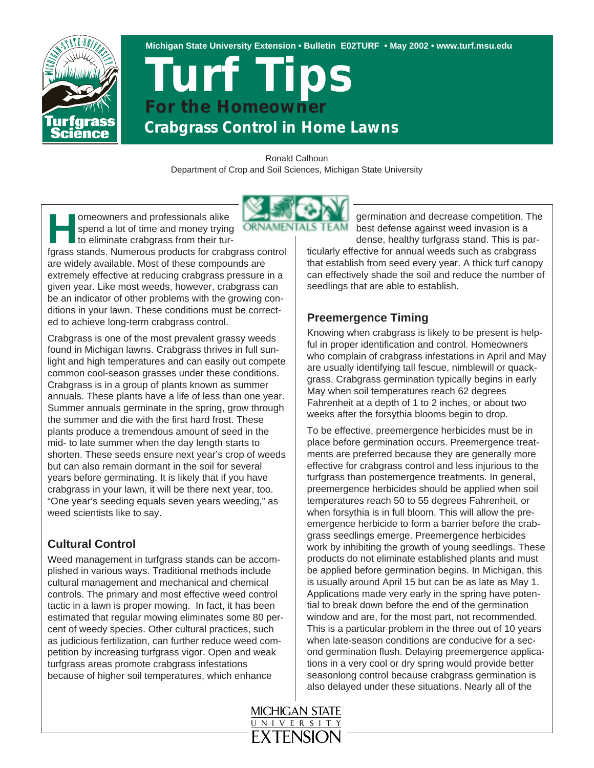

**Michigan State University Extension • Bulletin E02TURF • May 2002 • www.turf.msu.edu**

# *Crabgrass Control in Home Lawns Turf Tips For the Homeowner*

Ronald Calhoun Department of Crop and Soil Sciences, Michigan State University



**Homeowners and professionals alike**<br>spend a lot of time and money tryin<br>to eliminate crabgrass from their ture spend a lot of time and money trying to eliminate crabgrass from their tur-

fgrass stands. Numerous products for crabgrass control are widely available. Most of these compounds are extremely effective at reducing crabgrass pressure in a given year. Like most weeds, however, crabgrass can be an indicator of other problems with the growing conditions in your lawn. These conditions must be corrected to achieve long-term crabgrass control.

Crabgrass is one of the most prevalent grassy weeds found in Michigan lawns. Crabgrass thrives in full sunlight and high temperatures and can easily out compete common cool-season grasses under these conditions. Crabgrass is in a group of plants known as summer annuals. These plants have a life of less than one year. Summer annuals germinate in the spring, grow through the summer and die with the first hard frost. These plants produce a tremendous amount of seed in the mid- to late summer when the day length starts to shorten. These seeds ensure next year's crop of weeds but can also remain dormant in the soil for several years before germinating. It is likely that if you have crabgrass in your lawn, it will be there next year, too. "One year's seeding equals seven years weeding," as weed scientists like to say.

## **Cultural Control**

Weed management in turfgrass stands can be accomplished in various ways. Traditional methods include cultural management and mechanical and chemical controls. The primary and most effective weed control tactic in a lawn is proper mowing. In fact, it has been estimated that regular mowing eliminates some 80 percent of weedy species. Other cultural practices, such as judicious fertilization, can further reduce weed competition by increasing turfgrass vigor. Open and weak turfgrass areas promote crabgrass infestations because of higher soil temperatures, which enhance

germination and decrease competition. The best defense against weed invasion is a dense, healthy turfgrass stand. This is par-

ticularly effective for annual weeds such as crabgrass that establish from seed every year. A thick turf canopy can effectively shade the soil and reduce the number of seedlings that are able to establish.

### **Preemergence Timing**

Knowing when crabgrass is likely to be present is helpful in proper identification and control. Homeowners who complain of crabgrass infestations in April and May are usually identifying tall fescue, nimblewill or quackgrass. Crabgrass germination typically begins in early May when soil temperatures reach 62 degrees Fahrenheit at a depth of 1 to 2 inches, or about two weeks after the forsythia blooms begin to drop.

To be effective, preemergence herbicides must be in place before germination occurs. Preemergence treatments are preferred because they are generally more effective for crabgrass control and less injurious to the turfgrass than postemergence treatments. In general, preemergence herbicides should be applied when soil temperatures reach 50 to 55 degrees Fahrenheit, or when forsythia is in full bloom. This will allow the preemergence herbicide to form a barrier before the crabgrass seedlings emerge. Preemergence herbicides work by inhibiting the growth of young seedlings. These products do not eliminate established plants and must be applied before germination begins. In Michigan, this is usually around April 15 but can be as late as May 1. Applications made very early in the spring have potential to break down before the end of the germination window and are, for the most part, not recommended. This is a particular problem in the three out of 10 years when late-season conditions are conducive for a second germination flush. Delaying preemergence applications in a very cool or dry spring would provide better seasonlong control because crabgrass germination is also delayed under these situations. Nearly all of the